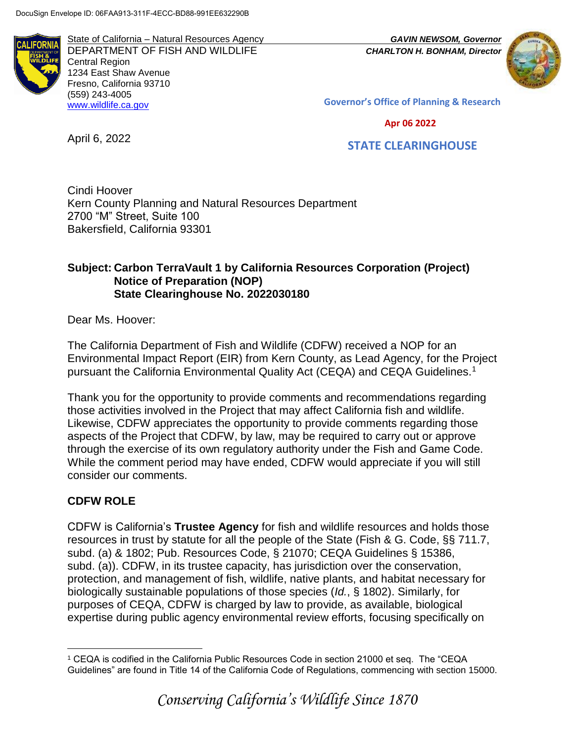

State of California – Natural Resources Agency *GAVIN NEWSOM, Governor* DEPARTMENT OF FISH AND WILDLIFE *CHARLTON H. BONHAM, Director*  Central Region 1234 East Shaw Avenue Fresno, California 93710 (559) 243-4005 [www.wildlife.ca.gov](http://www.wildlife.ca.gov/)



**Governor's Office of Planning & Research**

 **Apr 06 2022**

April 6, 2022

 **STATE CLEARINGHOUSE**

Cindi Hoover Kern County Planning and Natural Resources Department 2700 "M" Street, Suite 100 Bakersfield, California 93301

#### **Subject: Carbon TerraVault 1 by California Resources Corporation (Project) Notice of Preparation (NOP) State Clearinghouse No. 2022030180**

Dear Ms. Hoover:

The California Department of Fish and Wildlife (CDFW) received a NOP for an Environmental Impact Report (EIR) from Kern County, as Lead Agency, for the Project pursuant the California Environmental Quality Act (CEQA) and CEQA Guidelines.<sup>1</sup>

Thank you for the opportunity to provide comments and recommendations regarding those activities involved in the Project that may affect California fish and wildlife. Likewise, CDFW appreciates the opportunity to provide comments regarding those aspects of the Project that CDFW, by law, may be required to carry out or approve through the exercise of its own regulatory authority under the Fish and Game Code. While the comment period may have ended, CDFW would appreciate if you will still consider our comments.

# **CDFW ROLE**

CDFW is California's **Trustee Agency** for fish and wildlife resources and holds those resources in trust by statute for all the people of the State (Fish & G. Code, §§ 711.7, subd. (a) & 1802; Pub. Resources Code, § 21070; CEQA Guidelines § 15386, subd. (a)). CDFW, in its trustee capacity, has jurisdiction over the conservation, protection, and management of fish, wildlife, native plants, and habitat necessary for biologically sustainable populations of those species (*Id.*, § 1802). Similarly, for purposes of CEQA, CDFW is charged by law to provide, as available, biological expertise during public agency environmental review efforts, focusing specifically on

 $\overline{a}$ <sup>1</sup> CEQA is codified in the California Public Resources Code in section 21000 et seq. The "CEQA Guidelines" are found in Title 14 of the California Code of Regulations, commencing with section 15000.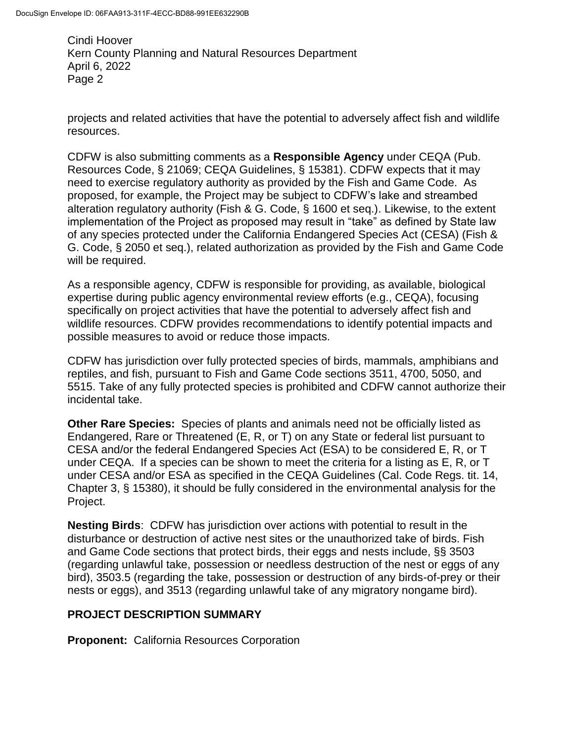projects and related activities that have the potential to adversely affect fish and wildlife resources.

CDFW is also submitting comments as a **Responsible Agency** under CEQA (Pub. Resources Code, § 21069; CEQA Guidelines, § 15381). CDFW expects that it may need to exercise regulatory authority as provided by the Fish and Game Code. As proposed, for example, the Project may be subject to CDFW's lake and streambed alteration regulatory authority (Fish & G. Code, § 1600 et seq.). Likewise, to the extent implementation of the Project as proposed may result in "take" as defined by State law of any species protected under the California Endangered Species Act (CESA) (Fish & G. Code, § 2050 et seq.), related authorization as provided by the Fish and Game Code will be required.

As a responsible agency, CDFW is responsible for providing, as available, biological expertise during public agency environmental review efforts (e.g., CEQA), focusing specifically on project activities that have the potential to adversely affect fish and wildlife resources. CDFW provides recommendations to identify potential impacts and possible measures to avoid or reduce those impacts.

CDFW has jurisdiction over fully protected species of birds, mammals, amphibians and reptiles, and fish, pursuant to Fish and Game Code sections 3511, 4700, 5050, and 5515. Take of any fully protected species is prohibited and CDFW cannot authorize their incidental take.

**Other Rare Species:** Species of plants and animals need not be officially listed as Endangered, Rare or Threatened (E, R, or T) on any State or federal list pursuant to CESA and/or the federal Endangered Species Act (ESA) to be considered E, R, or T under CEQA. If a species can be shown to meet the criteria for a listing as E, R, or T under CESA and/or ESA as specified in the CEQA Guidelines (Cal. Code Regs. tit. 14, Chapter 3, § 15380), it should be fully considered in the environmental analysis for the Project.

**Nesting Birds**: CDFW has jurisdiction over actions with potential to result in the disturbance or destruction of active nest sites or the unauthorized take of birds. Fish and Game Code sections that protect birds, their eggs and nests include, §§ 3503 (regarding unlawful take, possession or needless destruction of the nest or eggs of any bird), 3503.5 (regarding the take, possession or destruction of any birds-of-prey or their nests or eggs), and 3513 (regarding unlawful take of any migratory nongame bird).

# **PROJECT DESCRIPTION SUMMARY**

**Proponent:** California Resources Corporation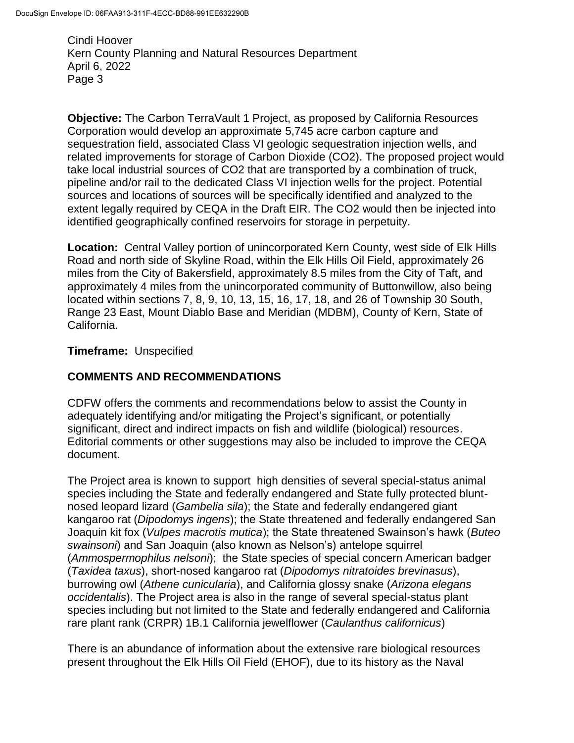**Objective:** The Carbon TerraVault 1 Project, as proposed by California Resources Corporation would develop an approximate 5,745 acre carbon capture and sequestration field, associated Class VI geologic sequestration injection wells, and related improvements for storage of Carbon Dioxide (CO2). The proposed project would take local industrial sources of CO2 that are transported by a combination of truck, pipeline and/or rail to the dedicated Class VI injection wells for the project. Potential sources and locations of sources will be specifically identified and analyzed to the extent legally required by CEQA in the Draft EIR. The CO2 would then be injected into identified geographically confined reservoirs for storage in perpetuity.

**Location:** Central Valley portion of unincorporated Kern County, west side of Elk Hills Road and north side of Skyline Road, within the Elk Hills Oil Field, approximately 26 miles from the City of Bakersfield, approximately 8.5 miles from the City of Taft, and approximately 4 miles from the unincorporated community of Buttonwillow, also being located within sections 7, 8, 9, 10, 13, 15, 16, 17, 18, and 26 of Township 30 South, Range 23 East, Mount Diablo Base and Meridian (MDBM), County of Kern, State of California.

## **Timeframe:** Unspecified

# **COMMENTS AND RECOMMENDATIONS**

CDFW offers the comments and recommendations below to assist the County in adequately identifying and/or mitigating the Project's significant, or potentially significant, direct and indirect impacts on fish and wildlife (biological) resources. Editorial comments or other suggestions may also be included to improve the CEQA document.

The Project area is known to support high densities of several special-status animal species including the State and federally endangered and State fully protected bluntnosed leopard lizard (*Gambelia sila*); the State and federally endangered giant kangaroo rat (*Dipodomys ingens*); the State threatened and federally endangered San Joaquin kit fox (*Vulpes macrotis mutica*); the State threatened Swainson's hawk (*Buteo swainsoni*) and San Joaquin (also known as Nelson's) antelope squirrel (*Ammospermophilus nelsoni*); the State species of special concern American badger (*Taxidea taxus*), short-nosed kangaroo rat (*Dipodomys nitratoides brevinasus*), burrowing owl (*Athene cunicularia*), and California glossy snake (*Arizona elegans occidentalis*). The Project area is also in the range of several special-status plant species including but not limited to the State and federally endangered and California rare plant rank (CRPR) 1B.1 California jewelflower (*Caulanthus californicus*)

There is an abundance of information about the extensive rare biological resources present throughout the Elk Hills Oil Field (EHOF), due to its history as the Naval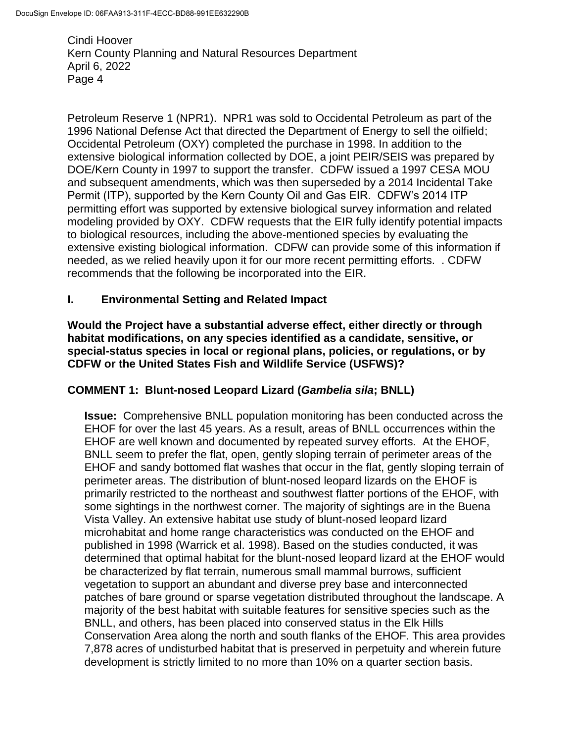Petroleum Reserve 1 (NPR1). NPR1 was sold to Occidental Petroleum as part of the 1996 National Defense Act that directed the Department of Energy to sell the oilfield; Occidental Petroleum (OXY) completed the purchase in 1998. In addition to the extensive biological information collected by DOE, a joint PEIR/SEIS was prepared by DOE/Kern County in 1997 to support the transfer. CDFW issued a 1997 CESA MOU and subsequent amendments, which was then superseded by a 2014 Incidental Take Permit (ITP), supported by the Kern County Oil and Gas EIR. CDFW's 2014 ITP permitting effort was supported by extensive biological survey information and related modeling provided by OXY. CDFW requests that the EIR fully identify potential impacts to biological resources, including the above-mentioned species by evaluating the extensive existing biological information. CDFW can provide some of this information if needed, as we relied heavily upon it for our more recent permitting efforts. . CDFW recommends that the following be incorporated into the EIR.

## **I. Environmental Setting and Related Impact**

**Would the Project have a substantial adverse effect, either directly or through habitat modifications, on any species identified as a candidate, sensitive, or special-status species in local or regional plans, policies, or regulations, or by CDFW or the United States Fish and Wildlife Service (USFWS)?** 

## **COMMENT 1: Blunt-nosed Leopard Lizard (***Gambelia sila***; BNLL)**

**Issue:** Comprehensive BNLL population monitoring has been conducted across the EHOF for over the last 45 years. As a result, areas of BNLL occurrences within the EHOF are well known and documented by repeated survey efforts. At the EHOF, BNLL seem to prefer the flat, open, gently sloping terrain of perimeter areas of the EHOF and sandy bottomed flat washes that occur in the flat, gently sloping terrain of perimeter areas. The distribution of blunt-nosed leopard lizards on the EHOF is primarily restricted to the northeast and southwest flatter portions of the EHOF, with some sightings in the northwest corner. The majority of sightings are in the Buena Vista Valley. An extensive habitat use study of blunt-nosed leopard lizard microhabitat and home range characteristics was conducted on the EHOF and published in 1998 (Warrick et al. 1998). Based on the studies conducted, it was determined that optimal habitat for the blunt-nosed leopard lizard at the EHOF would be characterized by flat terrain, numerous small mammal burrows, sufficient vegetation to support an abundant and diverse prey base and interconnected patches of bare ground or sparse vegetation distributed throughout the landscape. A majority of the best habitat with suitable features for sensitive species such as the BNLL, and others, has been placed into conserved status in the Elk Hills Conservation Area along the north and south flanks of the EHOF. This area provides 7,878 acres of undisturbed habitat that is preserved in perpetuity and wherein future development is strictly limited to no more than 10% on a quarter section basis.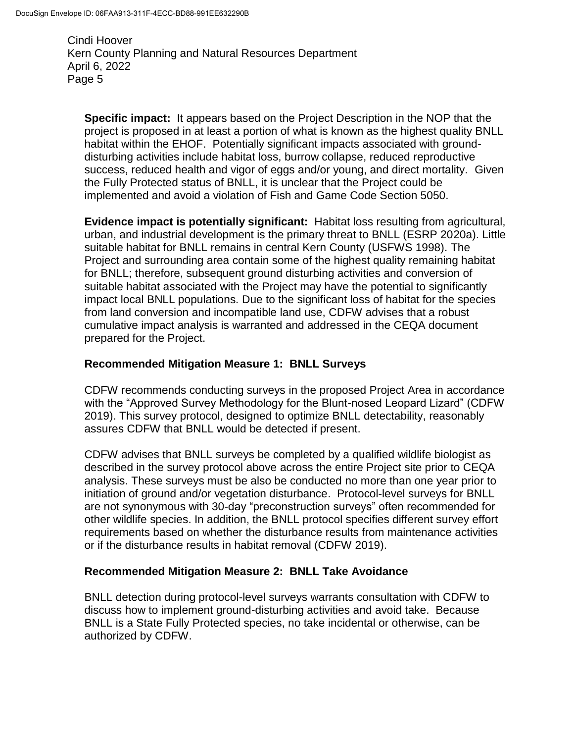**Specific impact:** It appears based on the Project Description in the NOP that the project is proposed in at least a portion of what is known as the highest quality BNLL habitat within the EHOF. Potentially significant impacts associated with grounddisturbing activities include habitat loss, burrow collapse, reduced reproductive success, reduced health and vigor of eggs and/or young, and direct mortality. Given the Fully Protected status of BNLL, it is unclear that the Project could be implemented and avoid a violation of Fish and Game Code Section 5050.

**Evidence impact is potentially significant:** Habitat loss resulting from agricultural, urban, and industrial development is the primary threat to BNLL (ESRP 2020a). Little suitable habitat for BNLL remains in central Kern County (USFWS 1998). The Project and surrounding area contain some of the highest quality remaining habitat for BNLL; therefore, subsequent ground disturbing activities and conversion of suitable habitat associated with the Project may have the potential to significantly impact local BNLL populations. Due to the significant loss of habitat for the species from land conversion and incompatible land use, CDFW advises that a robust cumulative impact analysis is warranted and addressed in the CEQA document prepared for the Project.

## **Recommended Mitigation Measure 1: BNLL Surveys**

CDFW recommends conducting surveys in the proposed Project Area in accordance with the "Approved Survey Methodology for the Blunt-nosed Leopard Lizard" (CDFW 2019). This survey protocol, designed to optimize BNLL detectability, reasonably assures CDFW that BNLL would be detected if present.

CDFW advises that BNLL surveys be completed by a qualified wildlife biologist as described in the survey protocol above across the entire Project site prior to CEQA analysis. These surveys must be also be conducted no more than one year prior to initiation of ground and/or vegetation disturbance. Protocol-level surveys for BNLL are not synonymous with 30-day "preconstruction surveys" often recommended for other wildlife species. In addition, the BNLL protocol specifies different survey effort requirements based on whether the disturbance results from maintenance activities or if the disturbance results in habitat removal (CDFW 2019).

## **Recommended Mitigation Measure 2: BNLL Take Avoidance**

BNLL detection during protocol-level surveys warrants consultation with CDFW to discuss how to implement ground-disturbing activities and avoid take. Because BNLL is a State Fully Protected species, no take incidental or otherwise, can be authorized by CDFW.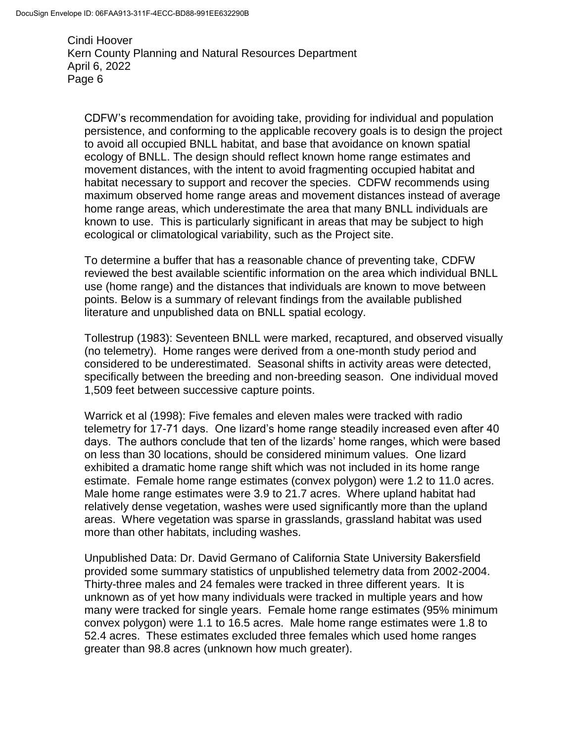CDFW's recommendation for avoiding take, providing for individual and population persistence, and conforming to the applicable recovery goals is to design the project to avoid all occupied BNLL habitat, and base that avoidance on known spatial ecology of BNLL. The design should reflect known home range estimates and movement distances, with the intent to avoid fragmenting occupied habitat and habitat necessary to support and recover the species. CDFW recommends using maximum observed home range areas and movement distances instead of average home range areas, which underestimate the area that many BNLL individuals are known to use. This is particularly significant in areas that may be subject to high ecological or climatological variability, such as the Project site.

To determine a buffer that has a reasonable chance of preventing take, CDFW reviewed the best available scientific information on the area which individual BNLL use (home range) and the distances that individuals are known to move between points. Below is a summary of relevant findings from the available published literature and unpublished data on BNLL spatial ecology.

Tollestrup (1983): Seventeen BNLL were marked, recaptured, and observed visually (no telemetry). Home ranges were derived from a one-month study period and considered to be underestimated. Seasonal shifts in activity areas were detected, specifically between the breeding and non-breeding season. One individual moved 1,509 feet between successive capture points.

Warrick et al (1998): Five females and eleven males were tracked with radio telemetry for 17-71 days. One lizard's home range steadily increased even after 40 days. The authors conclude that ten of the lizards' home ranges, which were based on less than 30 locations, should be considered minimum values. One lizard exhibited a dramatic home range shift which was not included in its home range estimate. Female home range estimates (convex polygon) were 1.2 to 11.0 acres. Male home range estimates were 3.9 to 21.7 acres. Where upland habitat had relatively dense vegetation, washes were used significantly more than the upland areas. Where vegetation was sparse in grasslands, grassland habitat was used more than other habitats, including washes.

Unpublished Data: Dr. David Germano of California State University Bakersfield provided some summary statistics of unpublished telemetry data from 2002-2004. Thirty-three males and 24 females were tracked in three different years. It is unknown as of yet how many individuals were tracked in multiple years and how many were tracked for single years. Female home range estimates (95% minimum convex polygon) were 1.1 to 16.5 acres. Male home range estimates were 1.8 to 52.4 acres. These estimates excluded three females which used home ranges greater than 98.8 acres (unknown how much greater).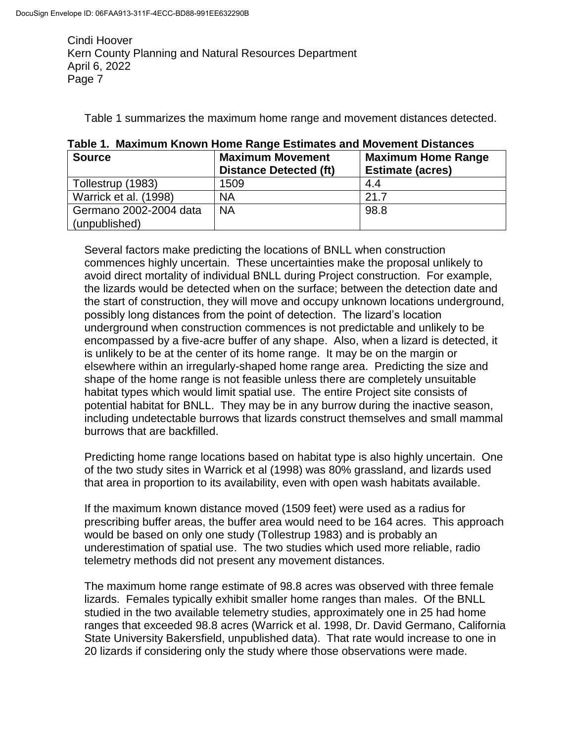Table 1 summarizes the maximum home range and movement distances detected.

| <b>Source</b>                           | <b>Maximum Movement</b><br><b>Distance Detected (ft)</b> | <b>Maximum Home Range</b><br><b>Estimate (acres)</b> |
|-----------------------------------------|----------------------------------------------------------|------------------------------------------------------|
| Tollestrup (1983)                       | 1509                                                     | 4.4                                                  |
| Warrick et al. (1998)                   | <b>NA</b>                                                | 21.7                                                 |
| Germano 2002-2004 data<br>(unpublished) | <b>NA</b>                                                | 98.8                                                 |

|  |  |  |  | Table 1. Maximum Known Home Range Estimates and Movement Distances |
|--|--|--|--|--------------------------------------------------------------------|
|--|--|--|--|--------------------------------------------------------------------|

Several factors make predicting the locations of BNLL when construction commences highly uncertain. These uncertainties make the proposal unlikely to avoid direct mortality of individual BNLL during Project construction. For example, the lizards would be detected when on the surface; between the detection date and the start of construction, they will move and occupy unknown locations underground, possibly long distances from the point of detection. The lizard's location underground when construction commences is not predictable and unlikely to be encompassed by a five-acre buffer of any shape. Also, when a lizard is detected, it is unlikely to be at the center of its home range. It may be on the margin or elsewhere within an irregularly-shaped home range area. Predicting the size and shape of the home range is not feasible unless there are completely unsuitable habitat types which would limit spatial use. The entire Project site consists of potential habitat for BNLL. They may be in any burrow during the inactive season, including undetectable burrows that lizards construct themselves and small mammal burrows that are backfilled.

Predicting home range locations based on habitat type is also highly uncertain. One of the two study sites in Warrick et al (1998) was 80% grassland, and lizards used that area in proportion to its availability, even with open wash habitats available.

If the maximum known distance moved (1509 feet) were used as a radius for prescribing buffer areas, the buffer area would need to be 164 acres. This approach would be based on only one study (Tollestrup 1983) and is probably an underestimation of spatial use. The two studies which used more reliable, radio telemetry methods did not present any movement distances.

The maximum home range estimate of 98.8 acres was observed with three female lizards. Females typically exhibit smaller home ranges than males. Of the BNLL studied in the two available telemetry studies, approximately one in 25 had home ranges that exceeded 98.8 acres (Warrick et al. 1998, Dr. David Germano, California State University Bakersfield, unpublished data). That rate would increase to one in 20 lizards if considering only the study where those observations were made.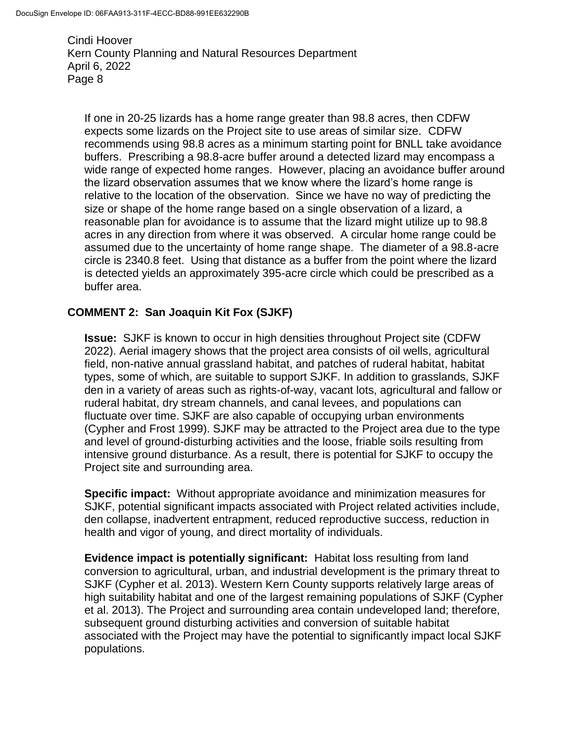If one in 20-25 lizards has a home range greater than 98.8 acres, then CDFW expects some lizards on the Project site to use areas of similar size. CDFW recommends using 98.8 acres as a minimum starting point for BNLL take avoidance buffers. Prescribing a 98.8-acre buffer around a detected lizard may encompass a wide range of expected home ranges. However, placing an avoidance buffer around the lizard observation assumes that we know where the lizard's home range is relative to the location of the observation. Since we have no way of predicting the size or shape of the home range based on a single observation of a lizard, a reasonable plan for avoidance is to assume that the lizard might utilize up to 98.8 acres in any direction from where it was observed. A circular home range could be assumed due to the uncertainty of home range shape. The diameter of a 98.8-acre circle is 2340.8 feet. Using that distance as a buffer from the point where the lizard is detected yields an approximately 395-acre circle which could be prescribed as a buffer area.

## **COMMENT 2: San Joaquin Kit Fox (SJKF)**

**Issue:** SJKF is known to occur in high densities throughout Project site (CDFW 2022). Aerial imagery shows that the project area consists of oil wells, agricultural field, non-native annual grassland habitat, and patches of ruderal habitat, habitat types, some of which, are suitable to support SJKF. In addition to grasslands, SJKF den in a variety of areas such as rights-of-way, vacant lots, agricultural and fallow or ruderal habitat, dry stream channels, and canal levees, and populations can fluctuate over time. SJKF are also capable of occupying urban environments (Cypher and Frost 1999). SJKF may be attracted to the Project area due to the type and level of ground-disturbing activities and the loose, friable soils resulting from intensive ground disturbance. As a result, there is potential for SJKF to occupy the Project site and surrounding area.

**Specific impact:** Without appropriate avoidance and minimization measures for SJKF, potential significant impacts associated with Project related activities include, den collapse, inadvertent entrapment, reduced reproductive success, reduction in health and vigor of young, and direct mortality of individuals.

**Evidence impact is potentially significant:** Habitat loss resulting from land conversion to agricultural, urban, and industrial development is the primary threat to SJKF (Cypher et al. 2013). Western Kern County supports relatively large areas of high suitability habitat and one of the largest remaining populations of SJKF (Cypher et al. 2013). The Project and surrounding area contain undeveloped land; therefore, subsequent ground disturbing activities and conversion of suitable habitat associated with the Project may have the potential to significantly impact local SJKF populations.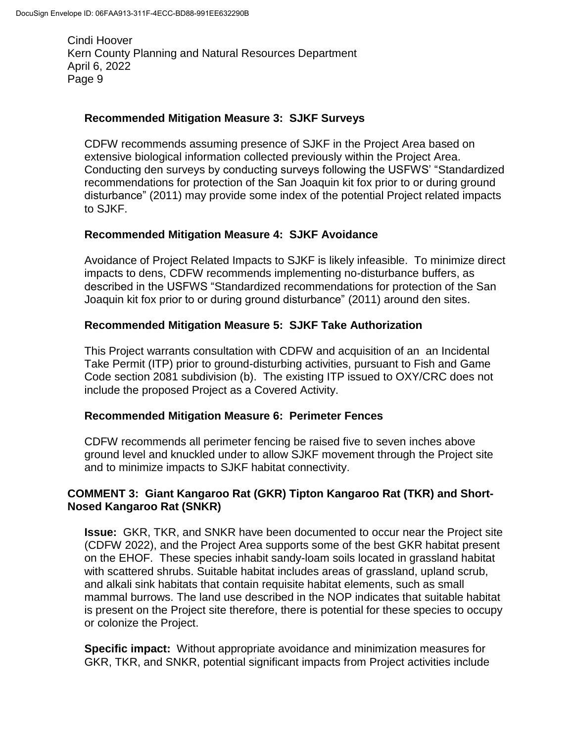## **Recommended Mitigation Measure 3: SJKF Surveys**

CDFW recommends assuming presence of SJKF in the Project Area based on extensive biological information collected previously within the Project Area. Conducting den surveys by conducting surveys following the USFWS' "Standardized recommendations for protection of the San Joaquin kit fox prior to or during ground disturbance" (2011) may provide some index of the potential Project related impacts to SJKF.

## **Recommended Mitigation Measure 4: SJKF Avoidance**

Avoidance of Project Related Impacts to SJKF is likely infeasible. To minimize direct impacts to dens, CDFW recommends implementing no-disturbance buffers, as described in the USFWS "Standardized recommendations for protection of the San Joaquin kit fox prior to or during ground disturbance" (2011) around den sites.

#### **Recommended Mitigation Measure 5: SJKF Take Authorization**

This Project warrants consultation with CDFW and acquisition of an an Incidental Take Permit (ITP) prior to ground-disturbing activities, pursuant to Fish and Game Code section 2081 subdivision (b). The existing ITP issued to OXY/CRC does not include the proposed Project as a Covered Activity.

#### **Recommended Mitigation Measure 6: Perimeter Fences**

CDFW recommends all perimeter fencing be raised five to seven inches above ground level and knuckled under to allow SJKF movement through the Project site and to minimize impacts to SJKF habitat connectivity.

## **COMMENT 3: Giant Kangaroo Rat (GKR) Tipton Kangaroo Rat (TKR) and Short-Nosed Kangaroo Rat (SNKR)**

**Issue:** GKR, TKR, and SNKR have been documented to occur near the Project site (CDFW 2022), and the Project Area supports some of the best GKR habitat present on the EHOF. These species inhabit sandy-loam soils located in grassland habitat with scattered shrubs. Suitable habitat includes areas of grassland, upland scrub, and alkali sink habitats that contain requisite habitat elements, such as small mammal burrows. The land use described in the NOP indicates that suitable habitat is present on the Project site therefore, there is potential for these species to occupy or colonize the Project.

**Specific impact:** Without appropriate avoidance and minimization measures for GKR, TKR, and SNKR, potential significant impacts from Project activities include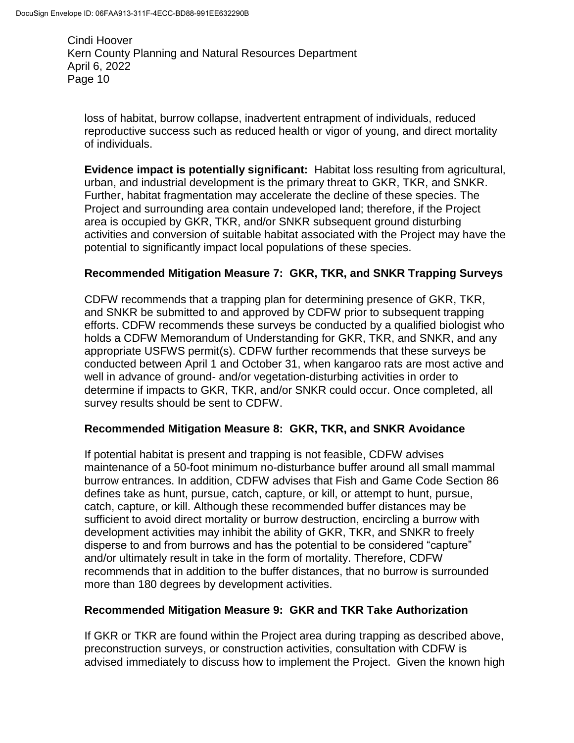loss of habitat, burrow collapse, inadvertent entrapment of individuals, reduced reproductive success such as reduced health or vigor of young, and direct mortality of individuals.

**Evidence impact is potentially significant:** Habitat loss resulting from agricultural, urban, and industrial development is the primary threat to GKR, TKR, and SNKR. Further, habitat fragmentation may accelerate the decline of these species. The Project and surrounding area contain undeveloped land; therefore, if the Project area is occupied by GKR, TKR, and/or SNKR subsequent ground disturbing activities and conversion of suitable habitat associated with the Project may have the potential to significantly impact local populations of these species.

# **Recommended Mitigation Measure 7: GKR, TKR, and SNKR Trapping Surveys**

CDFW recommends that a trapping plan for determining presence of GKR, TKR, and SNKR be submitted to and approved by CDFW prior to subsequent trapping efforts. CDFW recommends these surveys be conducted by a qualified biologist who holds a CDFW Memorandum of Understanding for GKR, TKR, and SNKR, and any appropriate USFWS permit(s). CDFW further recommends that these surveys be conducted between April 1 and October 31, when kangaroo rats are most active and well in advance of ground- and/or vegetation-disturbing activities in order to determine if impacts to GKR, TKR, and/or SNKR could occur. Once completed, all survey results should be sent to CDFW.

## **Recommended Mitigation Measure 8: GKR, TKR, and SNKR Avoidance**

If potential habitat is present and trapping is not feasible, CDFW advises maintenance of a 50-foot minimum no-disturbance buffer around all small mammal burrow entrances. In addition, CDFW advises that Fish and Game Code Section 86 defines take as hunt, pursue, catch, capture, or kill, or attempt to hunt, pursue, catch, capture, or kill. Although these recommended buffer distances may be sufficient to avoid direct mortality or burrow destruction, encircling a burrow with development activities may inhibit the ability of GKR, TKR, and SNKR to freely disperse to and from burrows and has the potential to be considered "capture" and/or ultimately result in take in the form of mortality. Therefore, CDFW recommends that in addition to the buffer distances, that no burrow is surrounded more than 180 degrees by development activities.

## **Recommended Mitigation Measure 9: GKR and TKR Take Authorization**

If GKR or TKR are found within the Project area during trapping as described above, preconstruction surveys, or construction activities, consultation with CDFW is advised immediately to discuss how to implement the Project. Given the known high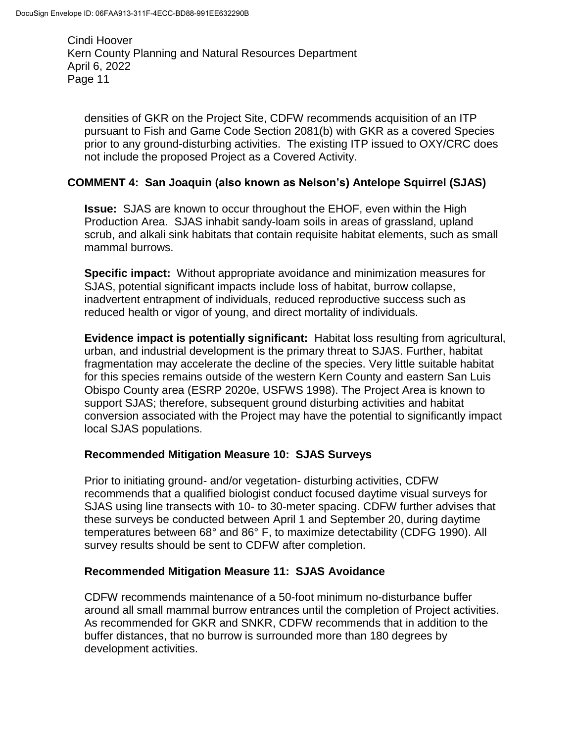densities of GKR on the Project Site, CDFW recommends acquisition of an ITP pursuant to Fish and Game Code Section 2081(b) with GKR as a covered Species prior to any ground-disturbing activities. The existing ITP issued to OXY/CRC does not include the proposed Project as a Covered Activity.

## **COMMENT 4: San Joaquin (also known as Nelson's) Antelope Squirrel (SJAS)**

**Issue:** SJAS are known to occur throughout the EHOF, even within the High Production Area. SJAS inhabit sandy-loam soils in areas of grassland, upland scrub, and alkali sink habitats that contain requisite habitat elements, such as small mammal burrows.

**Specific impact:** Without appropriate avoidance and minimization measures for SJAS, potential significant impacts include loss of habitat, burrow collapse, inadvertent entrapment of individuals, reduced reproductive success such as reduced health or vigor of young, and direct mortality of individuals.

**Evidence impact is potentially significant:** Habitat loss resulting from agricultural, urban, and industrial development is the primary threat to SJAS. Further, habitat fragmentation may accelerate the decline of the species. Very little suitable habitat for this species remains outside of the western Kern County and eastern San Luis Obispo County area (ESRP 2020e, USFWS 1998). The Project Area is known to support SJAS; therefore, subsequent ground disturbing activities and habitat conversion associated with the Project may have the potential to significantly impact local SJAS populations.

## **Recommended Mitigation Measure 10: SJAS Surveys**

Prior to initiating ground- and/or vegetation- disturbing activities, CDFW recommends that a qualified biologist conduct focused daytime visual surveys for SJAS using line transects with 10- to 30-meter spacing. CDFW further advises that these surveys be conducted between April 1 and September 20, during daytime temperatures between 68° and 86° F, to maximize detectability (CDFG 1990). All survey results should be sent to CDFW after completion.

## **Recommended Mitigation Measure 11: SJAS Avoidance**

CDFW recommends maintenance of a 50-foot minimum no-disturbance buffer around all small mammal burrow entrances until the completion of Project activities. As recommended for GKR and SNKR, CDFW recommends that in addition to the buffer distances, that no burrow is surrounded more than 180 degrees by development activities.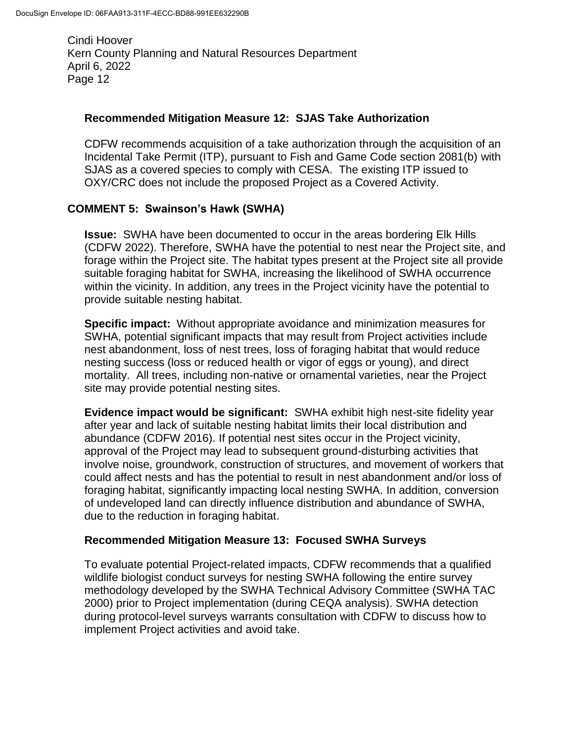## **Recommended Mitigation Measure 12: SJAS Take Authorization**

CDFW recommends acquisition of a take authorization through the acquisition of an Incidental Take Permit (ITP), pursuant to Fish and Game Code section 2081(b) with SJAS as a covered species to comply with CESA. The existing ITP issued to OXY/CRC does not include the proposed Project as a Covered Activity.

## **COMMENT 5: Swainson's Hawk (SWHA)**

**Issue:** SWHA have been documented to occur in the areas bordering Elk Hills (CDFW 2022). Therefore, SWHA have the potential to nest near the Project site, and forage within the Project site. The habitat types present at the Project site all provide suitable foraging habitat for SWHA, increasing the likelihood of SWHA occurrence within the vicinity. In addition, any trees in the Project vicinity have the potential to provide suitable nesting habitat.

**Specific impact:** Without appropriate avoidance and minimization measures for SWHA, potential significant impacts that may result from Project activities include nest abandonment, loss of nest trees, loss of foraging habitat that would reduce nesting success (loss or reduced health or vigor of eggs or young), and direct mortality. All trees, including non-native or ornamental varieties, near the Project site may provide potential nesting sites.

**Evidence impact would be significant:** SWHA exhibit high nest-site fidelity year after year and lack of suitable nesting habitat limits their local distribution and abundance (CDFW 2016). If potential nest sites occur in the Project vicinity, approval of the Project may lead to subsequent ground-disturbing activities that involve noise, groundwork, construction of structures, and movement of workers that could affect nests and has the potential to result in nest abandonment and/or loss of foraging habitat, significantly impacting local nesting SWHA. In addition, conversion of undeveloped land can directly influence distribution and abundance of SWHA, due to the reduction in foraging habitat.

## **Recommended Mitigation Measure 13: Focused SWHA Surveys**

To evaluate potential Project-related impacts, CDFW recommends that a qualified wildlife biologist conduct surveys for nesting SWHA following the entire survey methodology developed by the SWHA Technical Advisory Committee (SWHA TAC 2000) prior to Project implementation (during CEQA analysis). SWHA detection during protocol-level surveys warrants consultation with CDFW to discuss how to implement Project activities and avoid take.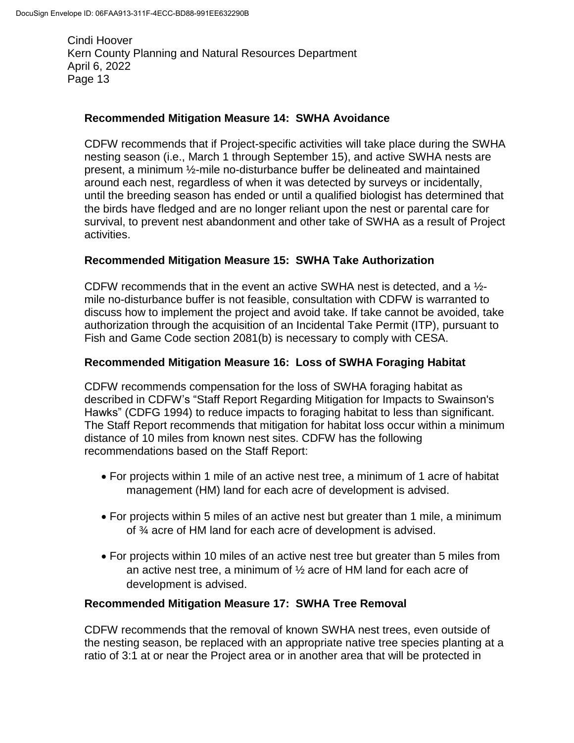### **Recommended Mitigation Measure 14: SWHA Avoidance**

CDFW recommends that if Project-specific activities will take place during the SWHA nesting season (i.e., March 1 through September 15), and active SWHA nests are present, a minimum ½-mile no-disturbance buffer be delineated and maintained around each nest, regardless of when it was detected by surveys or incidentally, until the breeding season has ended or until a qualified biologist has determined that the birds have fledged and are no longer reliant upon the nest or parental care for survival, to prevent nest abandonment and other take of SWHA as a result of Project activities.

#### **Recommended Mitigation Measure 15: SWHA Take Authorization**

CDFW recommends that in the event an active SWHA nest is detected, and a  $\frac{1}{2}$ mile no-disturbance buffer is not feasible, consultation with CDFW is warranted to discuss how to implement the project and avoid take. If take cannot be avoided, take authorization through the acquisition of an Incidental Take Permit (ITP), pursuant to Fish and Game Code section 2081(b) is necessary to comply with CESA.

#### **Recommended Mitigation Measure 16: Loss of SWHA Foraging Habitat**

CDFW recommends compensation for the loss of SWHA foraging habitat as described in CDFW's "Staff Report Regarding Mitigation for Impacts to Swainson's Hawks" (CDFG 1994) to reduce impacts to foraging habitat to less than significant. The Staff Report recommends that mitigation for habitat loss occur within a minimum distance of 10 miles from known nest sites. CDFW has the following recommendations based on the Staff Report:

- For projects within 1 mile of an active nest tree, a minimum of 1 acre of habitat management (HM) land for each acre of development is advised.
- For projects within 5 miles of an active nest but greater than 1 mile, a minimum of ¾ acre of HM land for each acre of development is advised.
- For projects within 10 miles of an active nest tree but greater than 5 miles from an active nest tree, a minimum of ½ acre of HM land for each acre of development is advised.

#### **Recommended Mitigation Measure 17: SWHA Tree Removal**

CDFW recommends that the removal of known SWHA nest trees, even outside of the nesting season, be replaced with an appropriate native tree species planting at a ratio of 3:1 at or near the Project area or in another area that will be protected in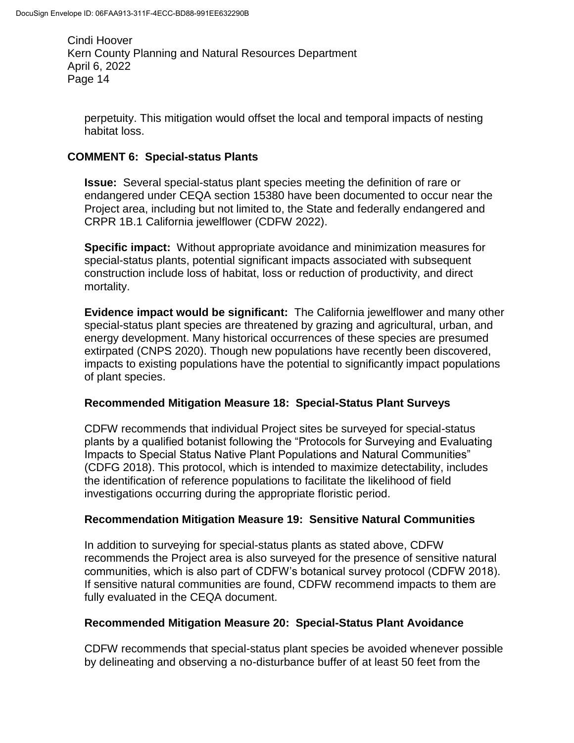perpetuity. This mitigation would offset the local and temporal impacts of nesting habitat loss.

# **COMMENT 6: Special-status Plants**

**Issue:** Several special-status plant species meeting the definition of rare or endangered under CEQA section 15380 have been documented to occur near the Project area, including but not limited to, the State and federally endangered and CRPR 1B.1 California jewelflower (CDFW 2022).

**Specific impact:** Without appropriate avoidance and minimization measures for special-status plants, potential significant impacts associated with subsequent construction include loss of habitat, loss or reduction of productivity, and direct mortality.

**Evidence impact would be significant:** The California jewelflower and many other special-status plant species are threatened by grazing and agricultural, urban, and energy development. Many historical occurrences of these species are presumed extirpated (CNPS 2020). Though new populations have recently been discovered, impacts to existing populations have the potential to significantly impact populations of plant species.

## **Recommended Mitigation Measure 18: Special-Status Plant Surveys**

CDFW recommends that individual Project sites be surveyed for special-status plants by a qualified botanist following the "Protocols for Surveying and Evaluating Impacts to Special Status Native Plant Populations and Natural Communities" (CDFG 2018). This protocol, which is intended to maximize detectability, includes the identification of reference populations to facilitate the likelihood of field investigations occurring during the appropriate floristic period.

## **Recommendation Mitigation Measure 19: Sensitive Natural Communities**

In addition to surveying for special-status plants as stated above, CDFW recommends the Project area is also surveyed for the presence of sensitive natural communities, which is also part of CDFW's botanical survey protocol (CDFW 2018). If sensitive natural communities are found, CDFW recommend impacts to them are fully evaluated in the CEQA document.

# **Recommended Mitigation Measure 20: Special-Status Plant Avoidance**

CDFW recommends that special-status plant species be avoided whenever possible by delineating and observing a no-disturbance buffer of at least 50 feet from the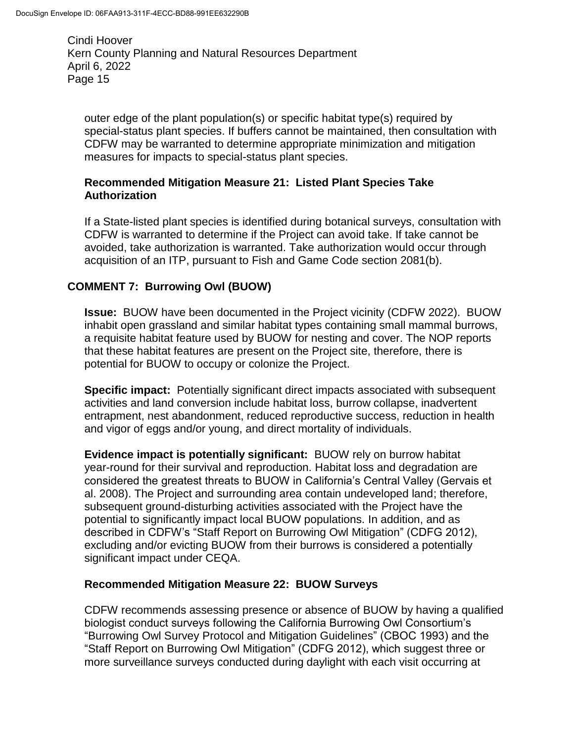outer edge of the plant population(s) or specific habitat type(s) required by special-status plant species. If buffers cannot be maintained, then consultation with CDFW may be warranted to determine appropriate minimization and mitigation measures for impacts to special-status plant species.

## **Recommended Mitigation Measure 21: Listed Plant Species Take Authorization**

If a State-listed plant species is identified during botanical surveys, consultation with CDFW is warranted to determine if the Project can avoid take. If take cannot be avoided, take authorization is warranted. Take authorization would occur through acquisition of an ITP, pursuant to Fish and Game Code section 2081(b).

# **COMMENT 7: Burrowing Owl (BUOW)**

**Issue:** BUOW have been documented in the Project vicinity (CDFW 2022). BUOW inhabit open grassland and similar habitat types containing small mammal burrows, a requisite habitat feature used by BUOW for nesting and cover. The NOP reports that these habitat features are present on the Project site, therefore, there is potential for BUOW to occupy or colonize the Project.

**Specific impact:** Potentially significant direct impacts associated with subsequent activities and land conversion include habitat loss, burrow collapse, inadvertent entrapment, nest abandonment, reduced reproductive success, reduction in health and vigor of eggs and/or young, and direct mortality of individuals.

**Evidence impact is potentially significant:** BUOW rely on burrow habitat year-round for their survival and reproduction. Habitat loss and degradation are considered the greatest threats to BUOW in California's Central Valley (Gervais et al. 2008). The Project and surrounding area contain undeveloped land; therefore, subsequent ground-disturbing activities associated with the Project have the potential to significantly impact local BUOW populations. In addition, and as described in CDFW's "Staff Report on Burrowing Owl Mitigation" (CDFG 2012), excluding and/or evicting BUOW from their burrows is considered a potentially significant impact under CEQA.

# **Recommended Mitigation Measure 22: BUOW Surveys**

CDFW recommends assessing presence or absence of BUOW by having a qualified biologist conduct surveys following the California Burrowing Owl Consortium's "Burrowing Owl Survey Protocol and Mitigation Guidelines" (CBOC 1993) and the "Staff Report on Burrowing Owl Mitigation" (CDFG 2012), which suggest three or more surveillance surveys conducted during daylight with each visit occurring at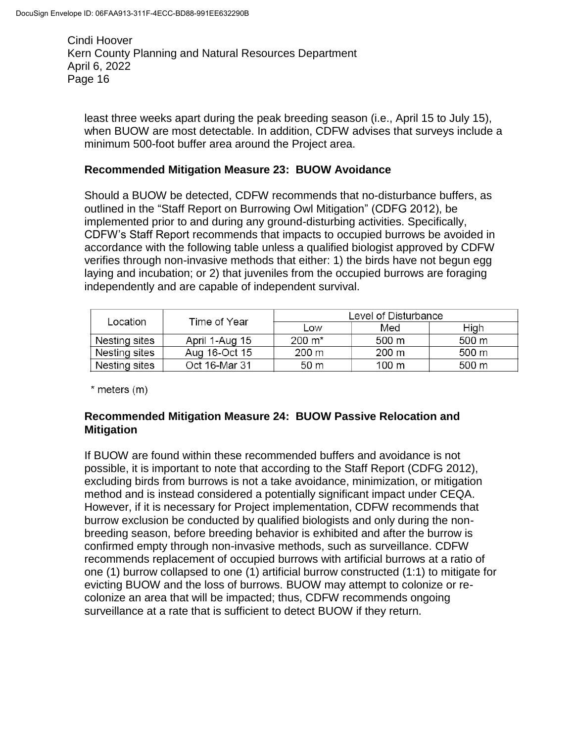least three weeks apart during the peak breeding season (i.e., April 15 to July 15), when BUOW are most detectable. In addition, CDFW advises that surveys include a minimum 500-foot buffer area around the Project area.

### **Recommended Mitigation Measure 23: BUOW Avoidance**

Should a BUOW be detected, CDFW recommends that no-disturbance buffers, as outlined in the "Staff Report on Burrowing Owl Mitigation" (CDFG 2012), be implemented prior to and during any ground-disturbing activities. Specifically, CDFW's Staff Report recommends that impacts to occupied burrows be avoided in accordance with the following table unless a qualified biologist approved by CDFW verifies through non-invasive methods that either: 1) the birds have not begun egg laying and incubation; or 2) that juveniles from the occupied burrows are foraging independently and are capable of independent survival.

| Location      |                |                     | Level of Disturbance |                     |  |
|---------------|----------------|---------------------|----------------------|---------------------|--|
|               | Time of Year   | Low                 | Med                  | High                |  |
| Nesting sites | April 1-Aug 15 | $200 \; \text{m}^*$ | 500 m                | 500 m               |  |
| Nesting sites | Aug 16-Oct 15  | 200 m               | 200 m                | 500 m               |  |
| Nesting sites | Oct 16-Mar 31  | 50 <sub>m</sub>     | 100 m                | $500 \; \mathrm{m}$ |  |

 $*$  meters  $(m)$ 

## **Recommended Mitigation Measure 24: BUOW Passive Relocation and Mitigation**

If BUOW are found within these recommended buffers and avoidance is not possible, it is important to note that according to the Staff Report (CDFG 2012), excluding birds from burrows is not a take avoidance, minimization, or mitigation method and is instead considered a potentially significant impact under CEQA. However, if it is necessary for Project implementation, CDFW recommends that burrow exclusion be conducted by qualified biologists and only during the nonbreeding season, before breeding behavior is exhibited and after the burrow is confirmed empty through non-invasive methods, such as surveillance. CDFW recommends replacement of occupied burrows with artificial burrows at a ratio of one (1) burrow collapsed to one (1) artificial burrow constructed (1:1) to mitigate for evicting BUOW and the loss of burrows. BUOW may attempt to colonize or recolonize an area that will be impacted; thus, CDFW recommends ongoing surveillance at a rate that is sufficient to detect BUOW if they return.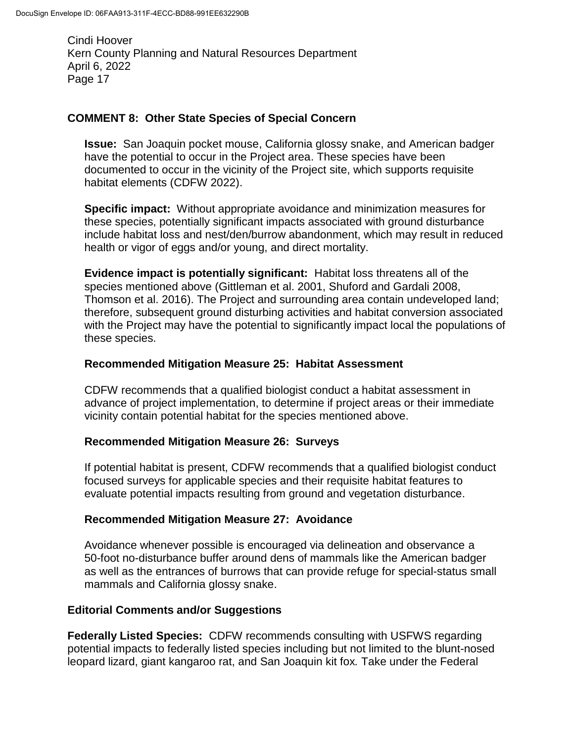### **COMMENT 8: Other State Species of Special Concern**

**Issue:** San Joaquin pocket mouse, California glossy snake, and American badger have the potential to occur in the Project area. These species have been documented to occur in the vicinity of the Project site, which supports requisite habitat elements (CDFW 2022).

**Specific impact:** Without appropriate avoidance and minimization measures for these species, potentially significant impacts associated with ground disturbance include habitat loss and nest/den/burrow abandonment, which may result in reduced health or vigor of eggs and/or young, and direct mortality.

**Evidence impact is potentially significant:** Habitat loss threatens all of the species mentioned above (Gittleman et al. 2001, Shuford and Gardali 2008, Thomson et al. 2016). The Project and surrounding area contain undeveloped land; therefore, subsequent ground disturbing activities and habitat conversion associated with the Project may have the potential to significantly impact local the populations of these species.

#### **Recommended Mitigation Measure 25: Habitat Assessment**

CDFW recommends that a qualified biologist conduct a habitat assessment in advance of project implementation, to determine if project areas or their immediate vicinity contain potential habitat for the species mentioned above.

#### **Recommended Mitigation Measure 26: Surveys**

If potential habitat is present, CDFW recommends that a qualified biologist conduct focused surveys for applicable species and their requisite habitat features to evaluate potential impacts resulting from ground and vegetation disturbance.

#### **Recommended Mitigation Measure 27: Avoidance**

Avoidance whenever possible is encouraged via delineation and observance a 50-foot no-disturbance buffer around dens of mammals like the American badger as well as the entrances of burrows that can provide refuge for special-status small mammals and California glossy snake.

## **Editorial Comments and/or Suggestions**

**Federally Listed Species:** CDFW recommends consulting with USFWS regarding potential impacts to federally listed species including but not limited to the blunt-nosed leopard lizard, giant kangaroo rat, and San Joaquin kit fox*.* Take under the Federal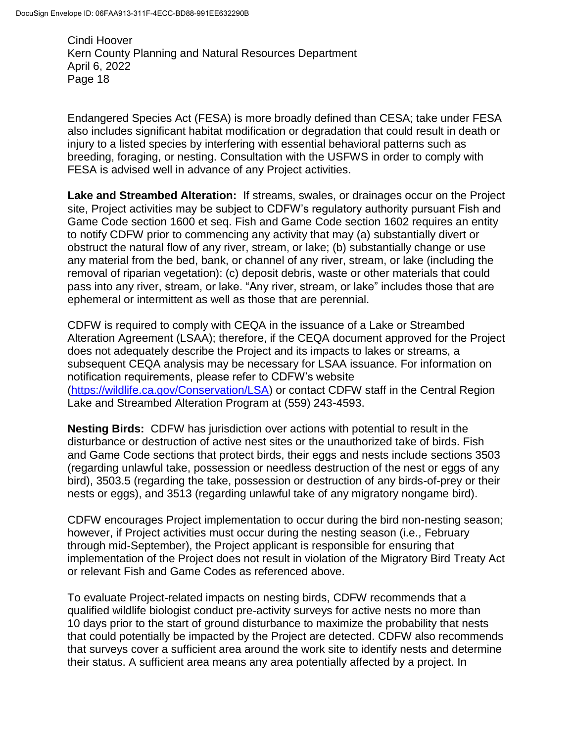Endangered Species Act (FESA) is more broadly defined than CESA; take under FESA also includes significant habitat modification or degradation that could result in death or injury to a listed species by interfering with essential behavioral patterns such as breeding, foraging, or nesting. Consultation with the USFWS in order to comply with FESA is advised well in advance of any Project activities.

**Lake and Streambed Alteration:** If streams, swales, or drainages occur on the Project site, Project activities may be subject to CDFW's regulatory authority pursuant Fish and Game Code section 1600 et seq. Fish and Game Code section 1602 requires an entity to notify CDFW prior to commencing any activity that may (a) substantially divert or obstruct the natural flow of any river, stream, or lake; (b) substantially change or use any material from the bed, bank, or channel of any river, stream, or lake (including the removal of riparian vegetation): (c) deposit debris, waste or other materials that could pass into any river, stream, or lake. "Any river, stream, or lake" includes those that are ephemeral or intermittent as well as those that are perennial.

CDFW is required to comply with CEQA in the issuance of a Lake or Streambed Alteration Agreement (LSAA); therefore, if the CEQA document approved for the Project does not adequately describe the Project and its impacts to lakes or streams, a subsequent CEQA analysis may be necessary for LSAA issuance. For information on notification requirements, please refer to CDFW's website [\(https://wildlife.ca.gov/Conservation/LSA\)](https://wildlife.ca.gov/Conservation/LSA) or contact CDFW staff in the Central Region Lake and Streambed Alteration Program at (559) 243-4593.

**Nesting Birds:** CDFW has jurisdiction over actions with potential to result in the disturbance or destruction of active nest sites or the unauthorized take of birds. Fish and Game Code sections that protect birds, their eggs and nests include sections 3503 (regarding unlawful take, possession or needless destruction of the nest or eggs of any bird), 3503.5 (regarding the take, possession or destruction of any birds-of-prey or their nests or eggs), and 3513 (regarding unlawful take of any migratory nongame bird).

CDFW encourages Project implementation to occur during the bird non-nesting season; however, if Project activities must occur during the nesting season (i.e., February through mid-September), the Project applicant is responsible for ensuring that implementation of the Project does not result in violation of the Migratory Bird Treaty Act or relevant Fish and Game Codes as referenced above.

To evaluate Project-related impacts on nesting birds, CDFW recommends that a qualified wildlife biologist conduct pre-activity surveys for active nests no more than 10 days prior to the start of ground disturbance to maximize the probability that nests that could potentially be impacted by the Project are detected. CDFW also recommends that surveys cover a sufficient area around the work site to identify nests and determine their status. A sufficient area means any area potentially affected by a project. In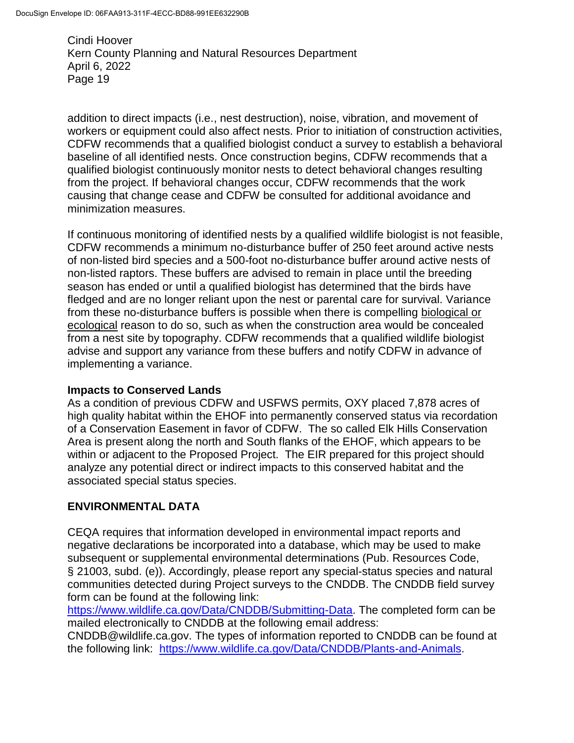addition to direct impacts (i.e., nest destruction), noise, vibration, and movement of workers or equipment could also affect nests. Prior to initiation of construction activities, CDFW recommends that a qualified biologist conduct a survey to establish a behavioral baseline of all identified nests. Once construction begins, CDFW recommends that a qualified biologist continuously monitor nests to detect behavioral changes resulting from the project. If behavioral changes occur, CDFW recommends that the work causing that change cease and CDFW be consulted for additional avoidance and minimization measures.

If continuous monitoring of identified nests by a qualified wildlife biologist is not feasible, CDFW recommends a minimum no-disturbance buffer of 250 feet around active nests of non-listed bird species and a 500-foot no-disturbance buffer around active nests of non-listed raptors. These buffers are advised to remain in place until the breeding season has ended or until a qualified biologist has determined that the birds have fledged and are no longer reliant upon the nest or parental care for survival. Variance from these no-disturbance buffers is possible when there is compelling biological or ecological reason to do so, such as when the construction area would be concealed from a nest site by topography. CDFW recommends that a qualified wildlife biologist advise and support any variance from these buffers and notify CDFW in advance of implementing a variance.

## **Impacts to Conserved Lands**

As a condition of previous CDFW and USFWS permits, OXY placed 7,878 acres of high quality habitat within the EHOF into permanently conserved status via recordation of a Conservation Easement in favor of CDFW. The so called Elk Hills Conservation Area is present along the north and South flanks of the EHOF, which appears to be within or adjacent to the Proposed Project. The EIR prepared for this project should analyze any potential direct or indirect impacts to this conserved habitat and the associated special status species.

# **ENVIRONMENTAL DATA**

CEQA requires that information developed in environmental impact reports and negative declarations be incorporated into a database, which may be used to make subsequent or supplemental environmental determinations (Pub. Resources Code, § 21003, subd. (e)). Accordingly, please report any special-status species and natural communities detected during Project surveys to the CNDDB. The CNDDB field survey form can be found at the following link:

[https://www.wildlife.ca.gov/Data/CNDDB/Submitting-Data.](https://www.wildlife.ca.gov/Data/CNDDB/Submitting-Data) The completed form can be mailed electronically to CNDDB at the following email address:

CNDDB@wildlife.ca.gov. The types of information reported to CNDDB can be found at the following link: [https://www.wildlife.ca.gov/Data/CNDDB/Plants-and-Animals.](https://www.wildlife.ca.gov/Data/CNDDB/Plants-and-Animals)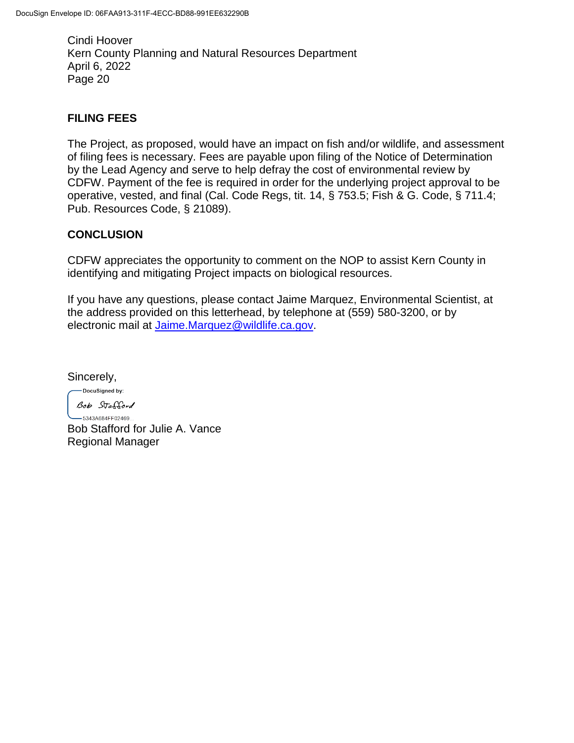# **FILING FEES**

The Project, as proposed, would have an impact on fish and/or wildlife, and assessment of filing fees is necessary. Fees are payable upon filing of the Notice of Determination by the Lead Agency and serve to help defray the cost of environmental review by CDFW. Payment of the fee is required in order for the underlying project approval to be operative, vested, and final (Cal. Code Regs, tit. 14, § 753.5; Fish & G. Code, § 711.4; Pub. Resources Code, § 21089).

## **CONCLUSION**

CDFW appreciates the opportunity to comment on the NOP to assist Kern County in identifying and mitigating Project impacts on biological resources.

If you have any questions, please contact Jaime Marquez, Environmental Scientist, at the address provided on this letterhead, by telephone at (559) 580-3200, or by electronic mail at [Jaime.Marquez@wildlife.ca.gov.](mailto:Jaime.Marquez@wildlife.ca.gov)

Sincerely,

-DocuSigned by: Bob Stafford

 $-5343A684FF02469...$ Bob Stafford for Julie A. Vance Regional Manager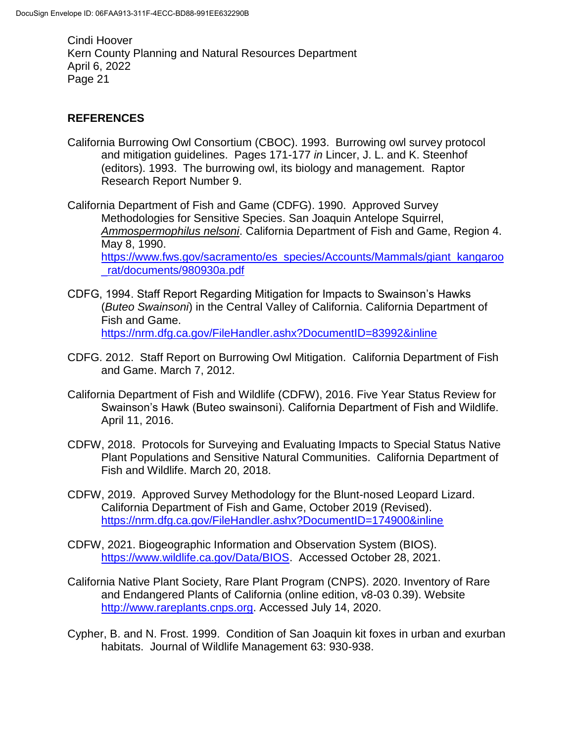# **REFERENCES**

California Burrowing Owl Consortium (CBOC). 1993. Burrowing owl survey protocol and mitigation guidelines. Pages 171-177 *in* Lincer, J. L. and K. Steenhof (editors). 1993. The burrowing owl, its biology and management. Raptor Research Report Number 9.

California Department of Fish and Game (CDFG). 1990. Approved Survey Methodologies for Sensitive Species. San Joaquin Antelope Squirrel, *Ammospermophilus nelsoni*. California Department of Fish and Game, Region 4. May 8, 1990. [https://www.fws.gov/sacramento/es\\_species/Accounts/Mammals/giant\\_kangaroo](https://www.fws.gov/sacramento/es_species/Accounts/Mammals/giant_kangaroo_rat/documents/980930a.pdf) [\\_rat/documents/980930a.pdf](https://www.fws.gov/sacramento/es_species/Accounts/Mammals/giant_kangaroo_rat/documents/980930a.pdf)

- CDFG, 1994. Staff Report Regarding Mitigation for Impacts to Swainson's Hawks (*Buteo Swainsoni*) in the Central Valley of California. California Department of Fish and Game. <https://nrm.dfg.ca.gov/FileHandler.ashx?DocumentID=83992&inline>
- CDFG. 2012. Staff Report on Burrowing Owl Mitigation. California Department of Fish and Game. March 7, 2012.
- California Department of Fish and Wildlife (CDFW), 2016. Five Year Status Review for Swainson's Hawk (Buteo swainsoni). California Department of Fish and Wildlife. April 11, 2016.
- CDFW, 2018. Protocols for Surveying and Evaluating Impacts to Special Status Native Plant Populations and Sensitive Natural Communities. California Department of Fish and Wildlife. March 20, 2018.
- CDFW, 2019. Approved Survey Methodology for the Blunt-nosed Leopard Lizard. California Department of Fish and Game, October 2019 (Revised). <https://nrm.dfg.ca.gov/FileHandler.ashx?DocumentID=174900&inline>
- CDFW, 2021. Biogeographic Information and Observation System (BIOS). [https://www.wildlife.ca.gov/Data/BIOS.](https://www.wildlife.ca.gov/Data/BIOS) Accessed October 28, 2021.
- California Native Plant Society, Rare Plant Program (CNPS). 2020. Inventory of Rare and Endangered Plants of California (online edition, v8-03 0.39). Website [http://www.rareplants.cnps.org.](http://www.rareplants.cnps.org/) Accessed July 14, 2020.
- Cypher, B. and N. Frost. 1999. Condition of San Joaquin kit foxes in urban and exurban habitats. Journal of Wildlife Management 63: 930-938.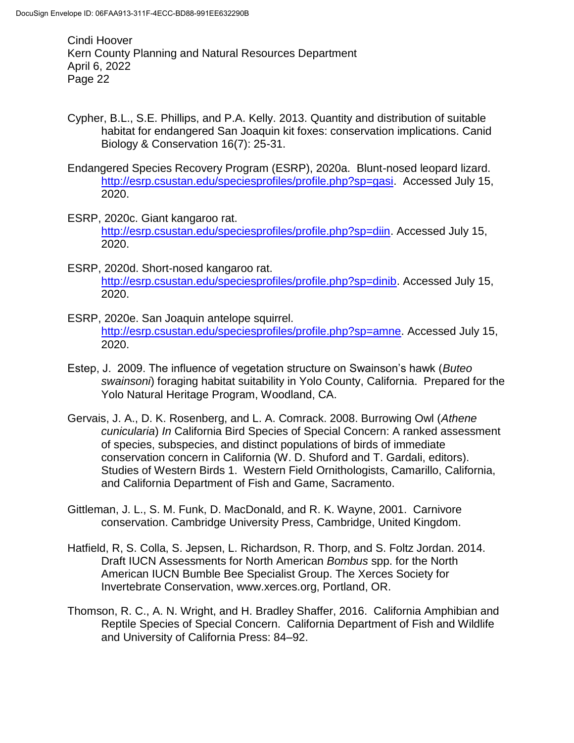- Cypher, B.L., S.E. Phillips, and P.A. Kelly. 2013. Quantity and distribution of suitable habitat for endangered San Joaquin kit foxes: conservation implications. Canid Biology & Conservation 16(7): 25-31.
- Endangered Species Recovery Program (ESRP), 2020a. Blunt-nosed leopard lizard. [http://esrp.csustan.edu/speciesprofiles/profile.php?sp=gasi.](http://esrp.csustan.edu/speciesprofiles/profile.php?sp=gasi) Accessed July 15, 2020.
- ESRP, 2020c. Giant kangaroo rat. [http://esrp.csustan.edu/speciesprofiles/profile.php?sp=diin.](http://esrp.csustan.edu/speciesprofiles/profile.php?sp=diin) Accessed July 15, 2020.
- ESRP, 2020d. Short-nosed kangaroo rat. [http://esrp.csustan.edu/speciesprofiles/profile.php?sp=dinib.](http://esrp.csustan.edu/speciesprofiles/profile.php?sp=dinib) Accessed July 15, 2020.
- ESRP, 2020e. San Joaquin antelope squirrel. [http://esrp.csustan.edu/speciesprofiles/profile.php?sp=amne.](http://esrp.csustan.edu/speciesprofiles/profile.php?sp=amne) Accessed July 15, 2020.
- Estep, J. 2009. The influence of vegetation structure on Swainson's hawk (*Buteo swainsoni*) foraging habitat suitability in Yolo County, California. Prepared for the Yolo Natural Heritage Program, Woodland, CA.
- Gervais, J. A., D. K. Rosenberg, and L. A. Comrack. 2008. Burrowing Owl (*Athene cunicularia*) *In* California Bird Species of Special Concern: A ranked assessment of species, subspecies, and distinct populations of birds of immediate conservation concern in California (W. D. Shuford and T. Gardali, editors). Studies of Western Birds 1. Western Field Ornithologists, Camarillo, California, and California Department of Fish and Game, Sacramento.
- Gittleman, J. L., S. M. Funk, D. MacDonald, and R. K. Wayne, 2001. Carnivore conservation. Cambridge University Press, Cambridge, United Kingdom.
- Hatfield, R, S. Colla, S. Jepsen, L. Richardson, R. Thorp, and S. Foltz Jordan. 2014. Draft IUCN Assessments for North American *Bombus* spp. for the North American IUCN Bumble Bee Specialist Group. The Xerces Society for Invertebrate Conservation, www.xerces.org, Portland, OR.
- Thomson, R. C., A. N. Wright, and H. Bradley Shaffer, 2016. California Amphibian and Reptile Species of Special Concern. California Department of Fish and Wildlife and University of California Press: 84–92.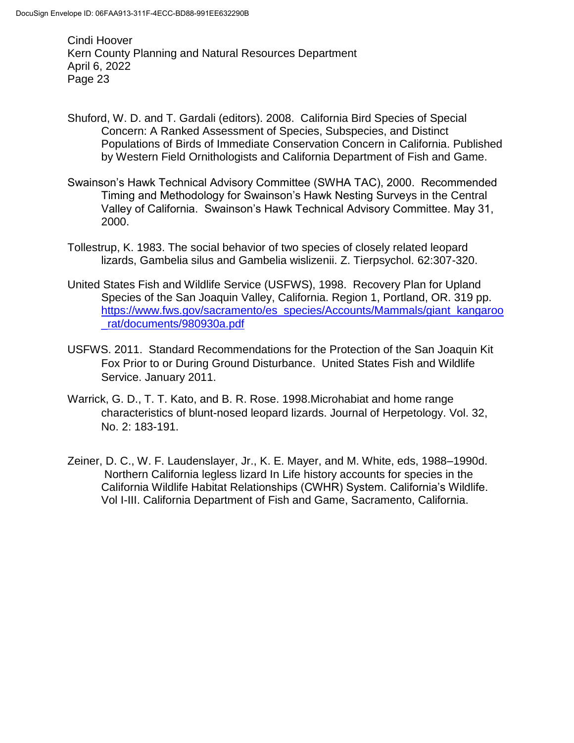- Shuford, W. D. and T. Gardali (editors). 2008. California Bird Species of Special Concern: A Ranked Assessment of Species, Subspecies, and Distinct Populations of Birds of Immediate Conservation Concern in California. Published by Western Field Ornithologists and California Department of Fish and Game.
- Swainson's Hawk Technical Advisory Committee (SWHA TAC), 2000. Recommended Timing and Methodology for Swainson's Hawk Nesting Surveys in the Central Valley of California. Swainson's Hawk Technical Advisory Committee. May 31, 2000.
- Tollestrup, K. 1983. The social behavior of two species of closely related leopard lizards, Gambelia silus and Gambelia wislizenii. Z. Tierpsychol. 62:307-320.
- United States Fish and Wildlife Service (USFWS), 1998. Recovery Plan for Upland Species of the San Joaquin Valley, California. Region 1, Portland, OR. 319 pp. [https://www.fws.gov/sacramento/es\\_species/Accounts/Mammals/giant\\_kangaroo](https://www.fws.gov/sacramento/es_species/Accounts/Mammals/giant_kangaroo_rat/documents/980930a.pdf) [\\_rat/documents/980930a.pdf](https://www.fws.gov/sacramento/es_species/Accounts/Mammals/giant_kangaroo_rat/documents/980930a.pdf)
- USFWS. 2011. Standard Recommendations for the Protection of the San Joaquin Kit Fox Prior to or During Ground Disturbance. United States Fish and Wildlife Service. January 2011.
- Warrick, G. D., T. T. Kato, and B. R. Rose. 1998.Microhabiat and home range characteristics of blunt-nosed leopard lizards. Journal of Herpetology. Vol. 32, No. 2: 183-191.
- Zeiner, D. C., W. F. Laudenslayer, Jr., K. E. Mayer, and M. White, eds, 1988–1990d. Northern California legless lizard In Life history accounts for species in the California Wildlife Habitat Relationships (CWHR) System. California's Wildlife. Vol I-III. California Department of Fish and Game, Sacramento, California.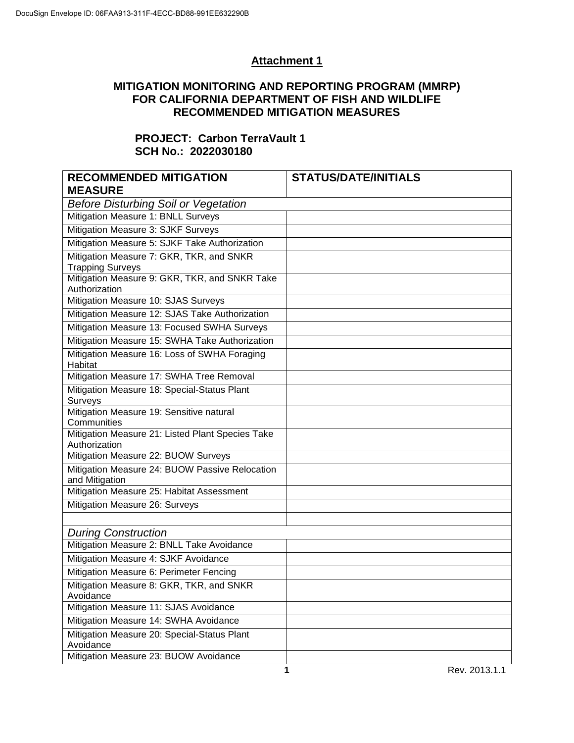# **Attachment 1**

## **MITIGATION MONITORING AND REPORTING PROGRAM (MMRP) FOR CALIFORNIA DEPARTMENT OF FISH AND WILDLIFE RECOMMENDED MITIGATION MEASURES**

## **PROJECT: Carbon TerraVault 1 SCH No.: 2022030180**

| <b>RECOMMENDED MITIGATION</b>                                       | <b>STATUS/DATE/INITIALS</b> |
|---------------------------------------------------------------------|-----------------------------|
| <b>MEASURE</b>                                                      |                             |
| <b>Before Disturbing Soil or Vegetation</b>                         |                             |
| Mitigation Measure 1: BNLL Surveys                                  |                             |
| Mitigation Measure 3: SJKF Surveys                                  |                             |
| Mitigation Measure 5: SJKF Take Authorization                       |                             |
| Mitigation Measure 7: GKR, TKR, and SNKR<br><b>Trapping Surveys</b> |                             |
| Mitigation Measure 9: GKR, TKR, and SNKR Take<br>Authorization      |                             |
| Mitigation Measure 10: SJAS Surveys                                 |                             |
| Mitigation Measure 12: SJAS Take Authorization                      |                             |
| Mitigation Measure 13: Focused SWHA Surveys                         |                             |
| Mitigation Measure 15: SWHA Take Authorization                      |                             |
| Mitigation Measure 16: Loss of SWHA Foraging<br>Habitat             |                             |
| Mitigation Measure 17: SWHA Tree Removal                            |                             |
| Mitigation Measure 18: Special-Status Plant<br>Surveys              |                             |
| Mitigation Measure 19: Sensitive natural<br>Communities             |                             |
| Mitigation Measure 21: Listed Plant Species Take<br>Authorization   |                             |
| Mitigation Measure 22: BUOW Surveys                                 |                             |
| Mitigation Measure 24: BUOW Passive Relocation<br>and Mitigation    |                             |
| Mitigation Measure 25: Habitat Assessment                           |                             |
| Mitigation Measure 26: Surveys                                      |                             |
|                                                                     |                             |
| <b>During Construction</b>                                          |                             |
| Mitigation Measure 2: BNLL Take Avoidance                           |                             |
| Mitigation Measure 4: SJKF Avoidance                                |                             |
| Mitigation Measure 6: Perimeter Fencing                             |                             |
| Mitigation Measure 8: GKR, TKR, and SNKR<br>Avoidance               |                             |
| Mitigation Measure 11: SJAS Avoidance                               |                             |
| Mitigation Measure 14: SWHA Avoidance                               |                             |
| Mitigation Measure 20: Special-Status Plant<br>Avoidance            |                             |
| Mitigation Measure 23: BUOW Avoidance                               |                             |